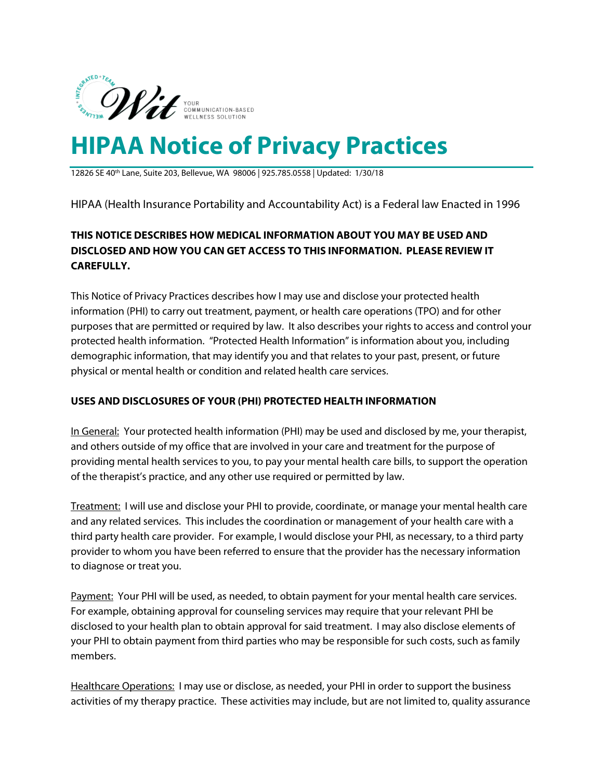

12826 SE 40th Lane, Suite 203, Bellevue, WA 98006 | 925.785.0558 | Updated: 1/30/18

HIPAA (Health Insurance Portability and Accountability Act) is a Federal law Enacted in 1996

## **THIS NOTICE DESCRIBES HOW MEDICAL INFORMATION ABOUT YOU MAY BE USED AND DISCLOSED AND HOW YOU CAN GET ACCESS TO THIS INFORMATION. PLEASE REVIEW IT CAREFULLY.**

This Notice of Privacy Practices describes how I may use and disclose your protected health information (PHI) to carry out treatment, payment, or health care operations (TPO) and for other purposes that are permitted or required by law. It also describes your rights to access and control your protected health information. "Protected Health Information" is information about you, including demographic information, that may identify you and that relates to your past, present, or future physical or mental health or condition and related health care services.

## **USES AND DISCLOSURES OF YOUR (PHI) PROTECTED HEALTH INFORMATION**

In General: Your protected health information (PHI) may be used and disclosed by me, your therapist, and others outside of my office that are involved in your care and treatment for the purpose of providing mental health services to you, to pay your mental health care bills, to support the operation of the therapist's practice, and any other use required or permitted by law.

Treatment: I will use and disclose your PHI to provide, coordinate, or manage your mental health care and any related services. This includes the coordination or management of your health care with a third party health care provider. For example, I would disclose your PHI, as necessary, to a third party provider to whom you have been referred to ensure that the provider has the necessary information to diagnose or treat you.

Payment: Your PHI will be used, as needed, to obtain payment for your mental health care services. For example, obtaining approval for counseling services may require that your relevant PHI be disclosed to your health plan to obtain approval for said treatment. I may also disclose elements of your PHI to obtain payment from third parties who may be responsible for such costs, such as family members.

Healthcare Operations: I may use or disclose, as needed, your PHI in order to support the business activities of my therapy practice. These activities may include, but are not limited to, quality assurance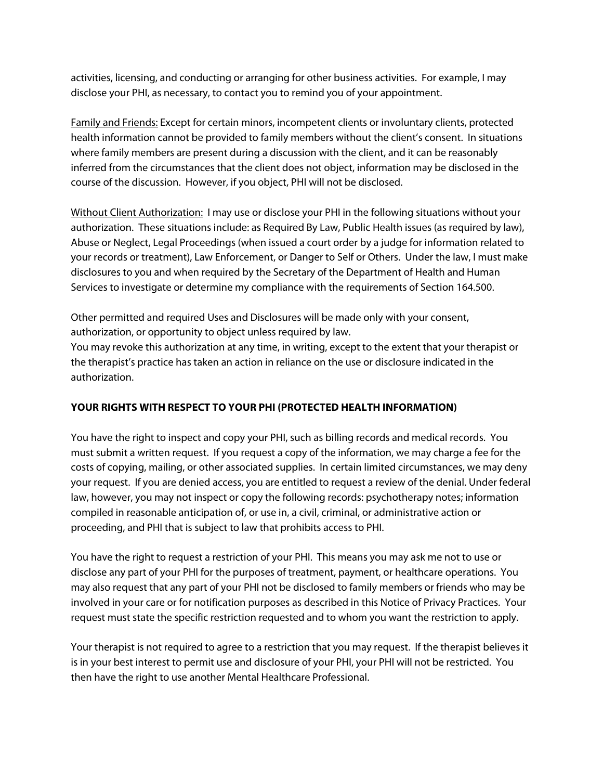activities, licensing, and conducting or arranging for other business activities. For example, I may disclose your PHI, as necessary, to contact you to remind you of your appointment.

Family and Friends: Except for certain minors, incompetent clients or involuntary clients, protected health information cannot be provided to family members without the client's consent. In situations where family members are present during a discussion with the client, and it can be reasonably inferred from the circumstances that the client does not object, information may be disclosed in the course of the discussion. However, if you object, PHI will not be disclosed.

Without Client Authorization: I may use or disclose your PHI in the following situations without your authorization. These situations include: as Required By Law, Public Health issues (as required by law), Abuse or Neglect, Legal Proceedings (when issued a court order by a judge for information related to your records or treatment), Law Enforcement, or Danger to Self or Others. Under the law, I must make disclosures to you and when required by the Secretary of the Department of Health and Human Services to investigate or determine my compliance with the requirements of Section 164.500.

Other permitted and required Uses and Disclosures will be made only with your consent, authorization, or opportunity to object unless required by law.

You may revoke this authorization at any time, in writing, except to the extent that your therapist or the therapist's practice has taken an action in reliance on the use or disclosure indicated in the authorization.

## **YOUR RIGHTS WITH RESPECT TO YOUR PHI (PROTECTED HEALTH INFORMATION)**

You have the right to inspect and copy your PHI, such as billing records and medical records. You must submit a written request. If you request a copy of the information, we may charge a fee for the costs of copying, mailing, or other associated supplies. In certain limited circumstances, we may deny your request. If you are denied access, you are entitled to request a review of the denial. Under federal law, however, you may not inspect or copy the following records: psychotherapy notes; information compiled in reasonable anticipation of, or use in, a civil, criminal, or administrative action or proceeding, and PHI that is subject to law that prohibits access to PHI.

You have the right to request a restriction of your PHI. This means you may ask me not to use or disclose any part of your PHI for the purposes of treatment, payment, or healthcare operations. You may also request that any part of your PHI not be disclosed to family members or friends who may be involved in your care or for notification purposes as described in this Notice of Privacy Practices. Your request must state the specific restriction requested and to whom you want the restriction to apply.

Your therapist is not required to agree to a restriction that you may request. If the therapist believes it is in your best interest to permit use and disclosure of your PHI, your PHI will not be restricted. You then have the right to use another Mental Healthcare Professional.